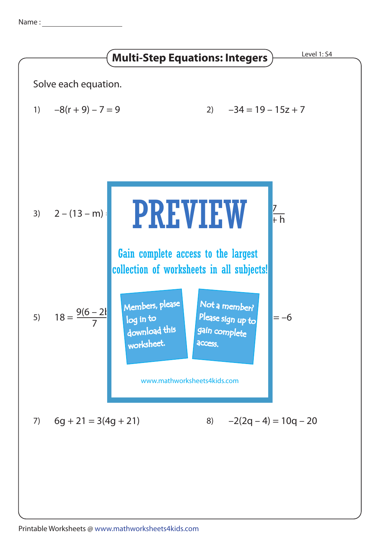